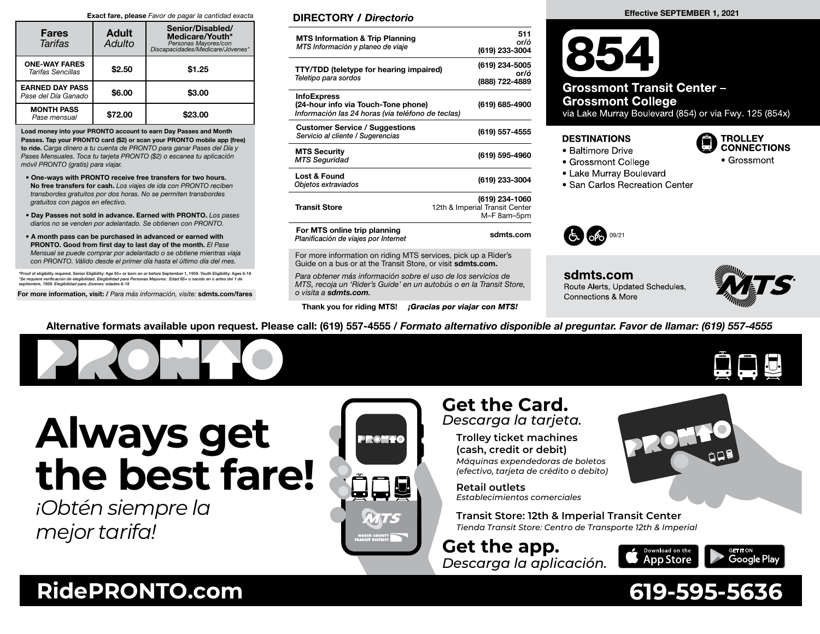#### Exact fare, please Favor de pagar la cantidad exacta

| <b>Fares</b><br><b>Tarifas</b>                | <b>Adult</b><br>Adulto | Senior/Disabled/<br>Medicare/Youth*<br>Personas Mayores/con<br>*biscapacidades/Medicare/Jóvenes |  |  |
|-----------------------------------------------|------------------------|-------------------------------------------------------------------------------------------------|--|--|
| <b>ONE-WAY FARES</b><br>Tarifas Sencillas     | \$2.50                 | \$1.25                                                                                          |  |  |
| <b>EARNED DAY PASS</b><br>Pase del Día Ganado | \$6.00                 | \$3.00                                                                                          |  |  |
| <b>MONTH PASS</b><br>Pase mensual             | \$72.00                | \$23.00                                                                                         |  |  |

Load money into your PRONTO account to earn Day Passes and Month Passes. Tap your PRONTO card (\$2) or scan your PRONTO mobile app (free) to ride. Carga dinero a tu cuenta de PRONTO para ganar Pases del Día y Pases Mensuales. Toca tu tarjeta PRONTO (\$2) o escanea tu aplicación móvil PRONTO (gratis) para viajar.

- One-ways with PRONTO receive free transfers for two hours. No free transfers for cash. Los viajes de ida con PRONTO reciben transbordes gratuitos por dos horas. No se permiten transbordes gratuitos con pagos en efectivo.
- Day Passes not sold in advance. Earned with PRONTO. Los pases diarios no se venden por adelantado. Se obtienen con PRONTO.
- A month pass can be purchased in advanced or earned with PRONTO. Good from first day to last day of the month. El Pase Mensual se puede comprar por adelantado o se obtiene mientras viaja con PRONTO. Válido desde el primer día hasta el último día del mes.

\*Proof of eligibility required. Senior Eligibility: Age 65+ or born on or before September 1, 1959. Youth Eligibility: Ages 6-18<br>\*Se requiere verificación de elegibilidad. Elegibilidad para Personas Mayores: Edad 65+ o nac

For more information, visit: / Para más información, visite: sdmts.com/fares

### DIRECTORY / Directorio

| <b>MTS Information &amp; Trip Planning</b><br>MTS Información y planeo de viaje                                | 511<br>or/ó<br>(619) 233-3004                                   |
|----------------------------------------------------------------------------------------------------------------|-----------------------------------------------------------------|
| <b>TTY/TDD</b> (teletype for hearing impaired)<br>Teletipo para sordos                                         | (619) 234-5005<br>or/ó<br>(888) 722-4889                        |
| <b>InfoExpress</b><br>(24-hour info via Touch-Tone phone)<br>Información las 24 horas (via teléfono de teclas) | (619) 685-4900                                                  |
| <b>Customer Service / Suggestions</b><br>Servicio al cliente / Sugerencias                                     | (619) 557-4555                                                  |
| <b>MTS Security</b><br><b>MTS Seguridad</b>                                                                    | (619) 595-4960                                                  |
| <b>Lost &amp; Found</b><br>Objetos extraviados                                                                 | (619) 233-3004                                                  |
| <b>Transit Store</b>                                                                                           | (619) 234-1060<br>12th & Imperial Transit Center<br>M-F 8am-5pm |
| For MTS online trip planning<br>Planificación de viajes por Internet                                           | sdmts.com                                                       |
|                                                                                                                |                                                                 |

For more information on riding MTS services, pick up a Rider's Guide on a bus or at the Transit Store, or visit sdmts.com.

Para obtener más información sobre el uso de los servicios de MTS, recoja un 'Rider's Guide' en un autobús o en la Transit Store, o visita a sdmts.com.

Thank you for riding MTS! **¡Gracias por viajar con MTS!** 

# Effective SEPTEMBER 1, 2021

**Grossmont Transit Center-Grossmont College** 

via Lake Murray Boulevard (854) or via Fwy. 125 (854x)

#### **DESTINATIONS**

- Baltimore Drive
- Grossmont College
- Lake Murray Boulevard
- San Carlos Recreation Center



sdmts.com Route Alerts, Updated Schedules, **Connections & More** 



**TROLLEY CONNECTIONS** 

• Grossmont

Alternative formats available upon request. Please call: (619) 557-4555 / Formato alternativo disponible al preguntar. Favor de llamar: (619) 557-4555



*¡Obtén siempre la mejor tarifa!*



# **Get the Card.** *Descarga la tarjeta.*

**Trolley ticket machines (cash, credit or debit)** *Máquinas expendedoras de boletos (efectivo, tarjeta de crédito o debito)*

**Retail outlets** *Establecimientos comerciales*

**Transit Store: 12th & Imperial Transit Center** *Tienda Transit Store: Centro de Transporte 12th & Imperial*

**Get the app.** *Descarga la aplicación.*



# **RidePRONTO.com 619-595-5636**